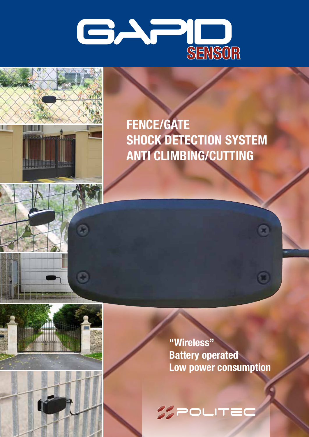



O

### **FENCE/GATE SHOCK DETECTION SYSTEM ANTI CLIMBING/CUTTING**

**"Wireless" Battery operated Low power consumption**

O

**SPOLITED**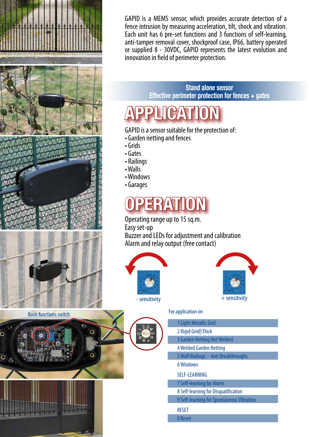

GAPID is a MEMS sensor, which provides accurate detection of a fence intrusion by measuring acceleration, tilt, shock and vibration. Each unit has 6 pre-set functions and 3 functions of self-learning, anti-tamper removal cover, shockproof case, IP66, battery operated or supplied 8 - 30VDC, GAPID represents the latest evolution and innovation in field of perimeter protection.

> **Stand alone sensor Effective perimeter protection for fences + gates**

# **APPLICATION**

GAPID is a sensor suitable for the protection of:

- Garden netting and fences
- 
- Windows
- Garages

## **OPERATION**

Operating range up to 15 sq.m. Easy set-up Buzzer and LEDs for adjustment and calibration Alarm and relay output (free contact)





### For application on

| 1 Light Metallic Grid                     |
|-------------------------------------------|
| 2 Rigid Grid \Thick                       |
| <b>3 Garden Netting Not Welded</b>        |
| <b>4 Welded Garden Netting</b>            |
| 5 Wall\Railings - Anti Breakthroughs      |
| 6 Windows                                 |
| <b>SELF-LEARNING</b>                      |
| <b>7 Self-learning for Alarm</b>          |
| 8 Self-learning for Disqualification      |
| 9 Self-learning for Spontaneous Vibration |
| <b>RESET</b>                              |
| 0 Reset                                   |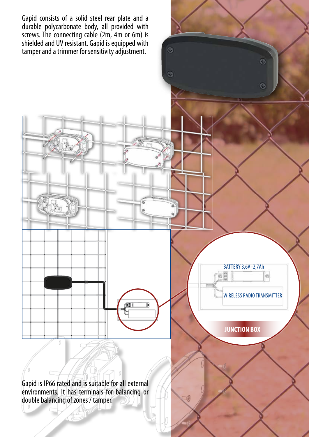Gapid consists of a solid steel rear plate and a durable polycarbonate body, all provided with screws. The connecting cable (2m, 4m or 6m) is shielded and UV resistant. Gapid is equipped with tamper and a trimmer for sensitivity adjustment.

G

G

BATTERY 3,6V -2,7Ah  $\circ$ ö. WIRELESS RADIO TRANSMITTER

 $\odot$ 

G

**JUNCTION BOX**

Gapid is IP66 rated and is suitable for all external environments. It has terminals for balancing or double balancing of zones / tamper.